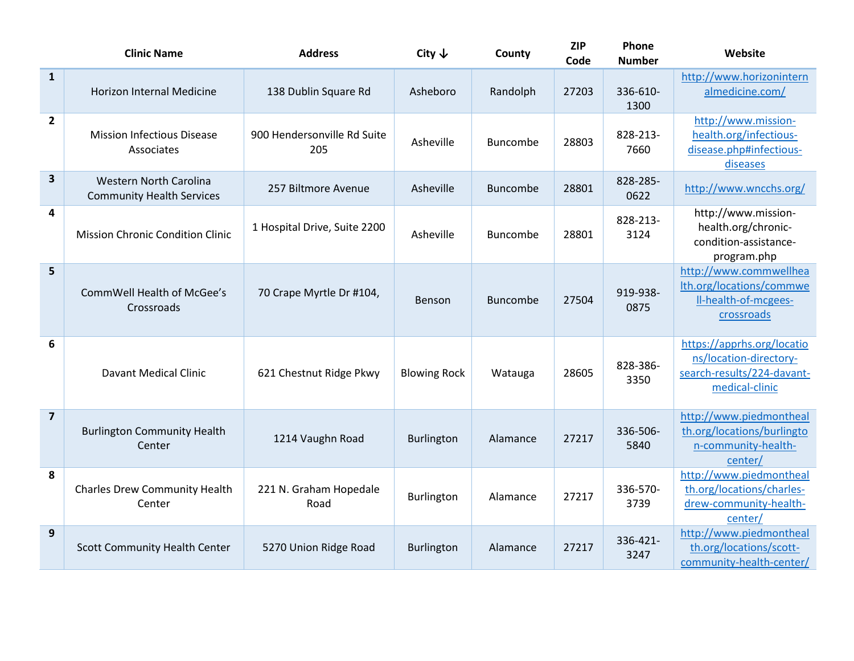|                         | <b>Clinic Name</b>                                                | <b>Address</b>                     | City $\downarrow$   | County          | <b>ZIP</b><br>Code | Phone<br><b>Number</b> | Website                                                                                              |
|-------------------------|-------------------------------------------------------------------|------------------------------------|---------------------|-----------------|--------------------|------------------------|------------------------------------------------------------------------------------------------------|
| $\mathbf{1}$            | <b>Horizon Internal Medicine</b>                                  | 138 Dublin Square Rd               | Asheboro            | Randolph        | 27203              | 336-610-<br>1300       | http://www.horizonintern<br>almedicine.com/                                                          |
| $\overline{\mathbf{2}}$ | <b>Mission Infectious Disease</b><br>Associates                   | 900 Hendersonville Rd Suite<br>205 | Asheville           | <b>Buncombe</b> | 28803              | 828-213-<br>7660       | http://www.mission-<br>health.org/infectious-<br>disease.php#infectious-<br>diseases                 |
| 3                       | <b>Western North Carolina</b><br><b>Community Health Services</b> | 257 Biltmore Avenue                | Asheville           | <b>Buncombe</b> | 28801              | 828-285-<br>0622       | http://www.wncchs.org/                                                                               |
| 4                       | <b>Mission Chronic Condition Clinic</b>                           | 1 Hospital Drive, Suite 2200       | Asheville           | Buncombe        | 28801              | 828-213-<br>3124       | http://www.mission-<br>health.org/chronic-<br>condition-assistance-<br>program.php                   |
| 5                       | CommWell Health of McGee's<br>Crossroads                          | 70 Crape Myrtle Dr #104,           | Benson              | <b>Buncombe</b> | 27504              | 919-938-<br>0875       | http://www.commwellhea<br>Ith.org/locations/commwe<br>Il-health-of-mcgees-<br>crossroads             |
| 6                       | <b>Davant Medical Clinic</b>                                      | 621 Chestnut Ridge Pkwy            | <b>Blowing Rock</b> | Watauga         | 28605              | 828-386-<br>3350       | https://apprhs.org/locatio<br>ns/location-directory-<br>search-results/224-davant-<br>medical-clinic |
| $\overline{\mathbf{z}}$ | <b>Burlington Community Health</b><br>Center                      | 1214 Vaughn Road                   | Burlington          | Alamance        | 27217              | 336-506-<br>5840       | http://www.piedmontheal<br>th.org/locations/burlingto<br>n-community-health-<br>center/              |
| 8                       | <b>Charles Drew Community Health</b><br>Center                    | 221 N. Graham Hopedale<br>Road     | Burlington          | Alamance        | 27217              | 336-570-<br>3739       | http://www.piedmontheal<br>th.org/locations/charles-<br>drew-community-health-<br>center/            |
| 9                       | <b>Scott Community Health Center</b>                              | 5270 Union Ridge Road              | <b>Burlington</b>   | Alamance        | 27217              | 336-421-<br>3247       | http://www.piedmontheal<br>th.org/locations/scott-<br>community-health-center/                       |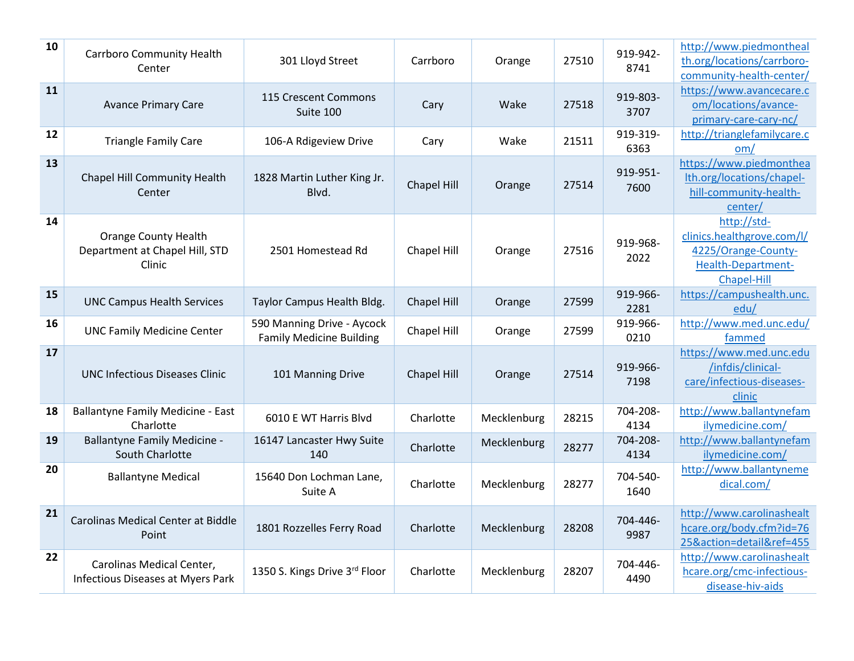| 10 | Carrboro Community Health<br>Center                                     | 301 Lloyd Street                                              | Carrboro    | Orange      | 27510 | 919-942-<br>8741 | http://www.piedmontheal<br>th.org/locations/carrboro-<br>community-health-center/                     |
|----|-------------------------------------------------------------------------|---------------------------------------------------------------|-------------|-------------|-------|------------------|-------------------------------------------------------------------------------------------------------|
| 11 | <b>Avance Primary Care</b>                                              | 115 Crescent Commons<br>Suite 100                             | Cary        | Wake        | 27518 | 919-803-<br>3707 | https://www.avancecare.c<br>om/locations/avance-<br>primary-care-cary-nc/                             |
| 12 | <b>Triangle Family Care</b>                                             | 106-A Rdigeview Drive                                         | Cary        | Wake        | 21511 | 919-319-<br>6363 | http://trianglefamilycare.c<br>om/                                                                    |
| 13 | Chapel Hill Community Health<br>Center                                  | 1828 Martin Luther King Jr.<br>Blvd.                          | Chapel Hill | Orange      | 27514 | 919-951-<br>7600 | https://www.piedmonthea<br>lth.org/locations/chapel-<br>hill-community-health-<br>center/             |
| 14 | <b>Orange County Health</b><br>Department at Chapel Hill, STD<br>Clinic | 2501 Homestead Rd                                             | Chapel Hill | Orange      | 27516 | 919-968-<br>2022 | http://std-<br>clinics.healthgrove.com/l/<br>4225/Orange-County-<br>Health-Department-<br>Chapel-Hill |
| 15 | <b>UNC Campus Health Services</b>                                       | Taylor Campus Health Bldg.                                    | Chapel Hill | Orange      | 27599 | 919-966-<br>2281 | https://campushealth.unc.<br>edu/                                                                     |
| 16 | <b>UNC Family Medicine Center</b>                                       | 590 Manning Drive - Aycock<br><b>Family Medicine Building</b> | Chapel Hill | Orange      | 27599 | 919-966-<br>0210 | http://www.med.unc.edu/<br>fammed                                                                     |
| 17 | <b>UNC Infectious Diseases Clinic</b>                                   | 101 Manning Drive                                             | Chapel Hill | Orange      | 27514 | 919-966-<br>7198 | https://www.med.unc.edu<br>/infdis/clinical-<br>care/infectious-diseases-<br>clinic                   |
| 18 | <b>Ballantyne Family Medicine - East</b><br>Charlotte                   | 6010 E WT Harris Blvd                                         | Charlotte   | Mecklenburg | 28215 | 704-208-<br>4134 | http://www.ballantynefam<br>ilymedicine.com/                                                          |
| 19 | <b>Ballantyne Family Medicine -</b><br>South Charlotte                  | 16147 Lancaster Hwy Suite<br>140                              | Charlotte   | Mecklenburg | 28277 | 704-208-<br>4134 | http://www.ballantynefam<br>ilymedicine.com/                                                          |
| 20 | <b>Ballantyne Medical</b>                                               | 15640 Don Lochman Lane,<br>Suite A                            | Charlotte   | Mecklenburg | 28277 | 704-540-<br>1640 | http://www.ballantyneme<br>dical.com/                                                                 |
| 21 | <b>Carolinas Medical Center at Biddle</b><br>Point                      | 1801 Rozzelles Ferry Road                                     | Charlotte   | Mecklenburg | 28208 | 704-446-<br>9987 | http://www.carolinashealt<br>hcare.org/body.cfm?id=76<br>25&action=detail&ref=455                     |
| 22 | Carolinas Medical Center,<br>Infectious Diseases at Myers Park          | 1350 S. Kings Drive 3rd Floor                                 | Charlotte   | Mecklenburg | 28207 | 704-446-<br>4490 | http://www.carolinashealt<br>hcare.org/cmc-infectious-<br>disease-hiv-aids                            |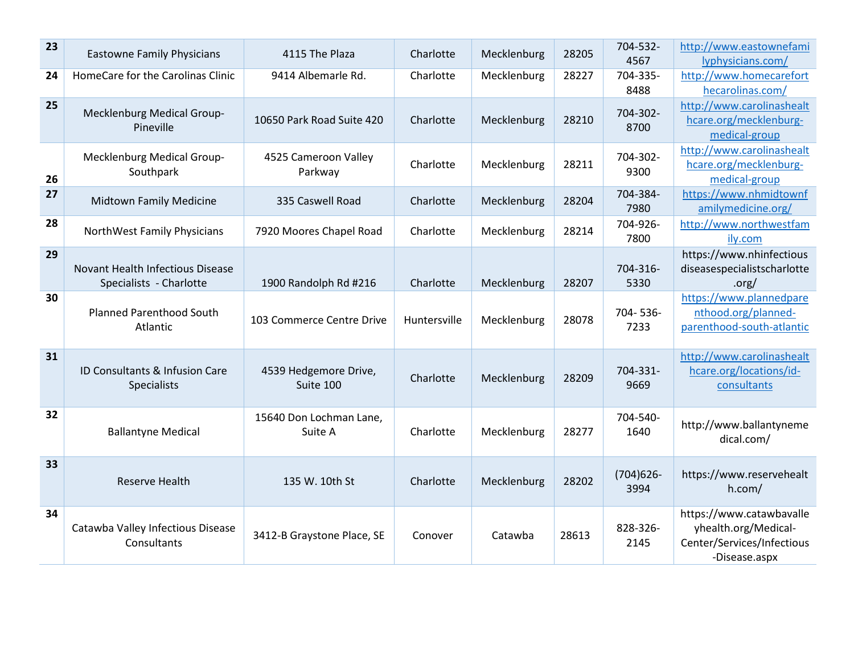| 23 | <b>Eastowne Family Physicians</b>                           | 4115 The Plaza                     | Charlotte    | Mecklenburg | 28205 | 704-532-<br>4567     | http://www.eastownefami<br>lyphysicians.com/                                                    |
|----|-------------------------------------------------------------|------------------------------------|--------------|-------------|-------|----------------------|-------------------------------------------------------------------------------------------------|
| 24 | HomeCare for the Carolinas Clinic                           | 9414 Albemarle Rd.                 | Charlotte    | Mecklenburg | 28227 | 704-335-<br>8488     | http://www.homecarefort<br>hecarolinas.com/                                                     |
| 25 | Mecklenburg Medical Group-<br>Pineville                     | 10650 Park Road Suite 420          | Charlotte    | Mecklenburg | 28210 | 704-302-<br>8700     | http://www.carolinashealt<br>hcare.org/mecklenburg-<br>medical-group                            |
| 26 | Mecklenburg Medical Group-<br>Southpark                     | 4525 Cameroon Valley<br>Parkway    | Charlotte    | Mecklenburg | 28211 | 704-302-<br>9300     | http://www.carolinashealt<br>hcare.org/mecklenburg-<br>medical-group                            |
| 27 | <b>Midtown Family Medicine</b>                              | 335 Caswell Road                   | Charlotte    | Mecklenburg | 28204 | 704-384-<br>7980     | https://www.nhmidtownf<br>amilymedicine.org/                                                    |
| 28 | NorthWest Family Physicians                                 | 7920 Moores Chapel Road            | Charlotte    | Mecklenburg | 28214 | 704-926-<br>7800     | http://www.northwestfam<br>ily.com                                                              |
| 29 | Novant Health Infectious Disease<br>Specialists - Charlotte | 1900 Randolph Rd #216              | Charlotte    | Mecklenburg | 28207 | 704-316-<br>5330     | https://www.nhinfectious<br>diseasespecialistscharlotte<br>.org/                                |
| 30 | <b>Planned Parenthood South</b><br>Atlantic                 | 103 Commerce Centre Drive          | Huntersville | Mecklenburg | 28078 | 704-536-<br>7233     | https://www.plannedpare<br>nthood.org/planned-<br>parenthood-south-atlantic                     |
| 31 | ID Consultants & Infusion Care<br>Specialists               | 4539 Hedgemore Drive,<br>Suite 100 | Charlotte    | Mecklenburg | 28209 | 704-331-<br>9669     | http://www.carolinashealt<br>hcare.org/locations/id-<br>consultants                             |
| 32 | <b>Ballantyne Medical</b>                                   | 15640 Don Lochman Lane,<br>Suite A | Charlotte    | Mecklenburg | 28277 | 704-540-<br>1640     | http://www.ballantyneme<br>dical.com/                                                           |
| 33 | <b>Reserve Health</b>                                       | 135 W. 10th St                     | Charlotte    | Mecklenburg | 28202 | $(704)626 -$<br>3994 | https://www.reservehealt<br>h.com/                                                              |
| 34 | Catawba Valley Infectious Disease<br>Consultants            | 3412-B Graystone Place, SE         | Conover      | Catawba     | 28613 | 828-326-<br>2145     | https://www.catawbavalle<br>yhealth.org/Medical-<br>Center/Services/Infectious<br>-Disease.aspx |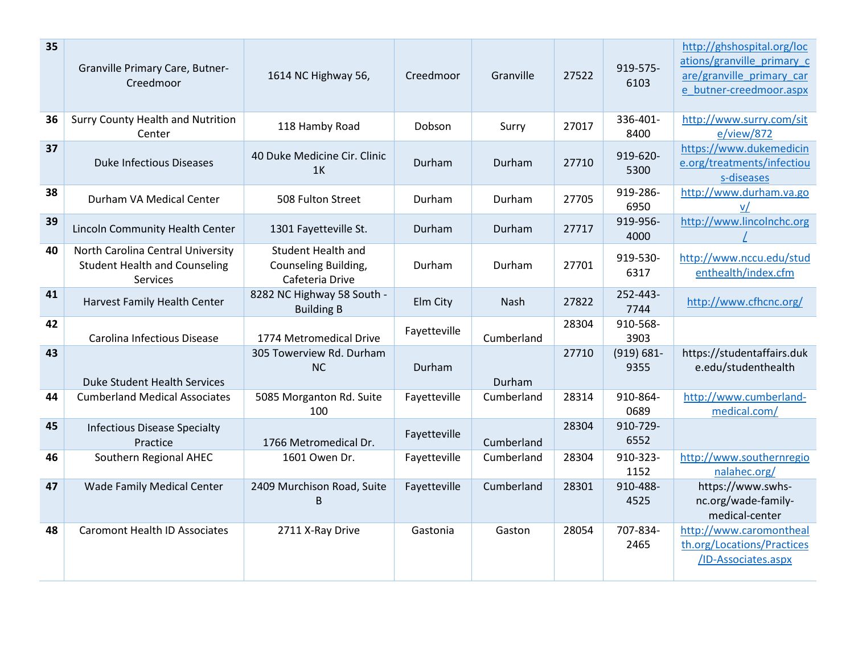| 35 | Granville Primary Care, Butner-<br>Creedmoor                                          | 1614 NC Highway 56,                                                  | Creedmoor    | Granville  | 27522 | 919-575-<br>6103      | http://ghshospital.org/loc<br>ations/granville primary c<br>are/granville primary car<br>e butner-creedmoor.aspx |
|----|---------------------------------------------------------------------------------------|----------------------------------------------------------------------|--------------|------------|-------|-----------------------|------------------------------------------------------------------------------------------------------------------|
| 36 | Surry County Health and Nutrition<br>Center                                           | 118 Hamby Road                                                       | Dobson       | Surry      | 27017 | 336-401-<br>8400      | http://www.surry.com/sit<br>e/view/872                                                                           |
| 37 | <b>Duke Infectious Diseases</b>                                                       | 40 Duke Medicine Cir. Clinic<br>1 <sup>K</sup>                       | Durham       | Durham     | 27710 | 919-620-<br>5300      | https://www.dukemedicin<br>e.org/treatments/infectiou<br>s-diseases                                              |
| 38 | Durham VA Medical Center                                                              | 508 Fulton Street                                                    | Durham       | Durham     | 27705 | 919-286-<br>6950      | http://www.durham.va.go                                                                                          |
| 39 | Lincoln Community Health Center                                                       | 1301 Fayetteville St.                                                | Durham       | Durham     | 27717 | 919-956-<br>4000      | http://www.lincolnchc.org                                                                                        |
| 40 | North Carolina Central University<br><b>Student Health and Counseling</b><br>Services | <b>Student Health and</b><br>Counseling Building,<br>Cafeteria Drive | Durham       | Durham     | 27701 | 919-530-<br>6317      | http://www.nccu.edu/stud<br>enthealth/index.cfm                                                                  |
| 41 | Harvest Family Health Center                                                          | 8282 NC Highway 58 South -<br><b>Building B</b>                      | Elm City     | Nash       | 27822 | 252-443-<br>7744      | http://www.cfhcnc.org/                                                                                           |
| 42 | Carolina Infectious Disease                                                           | 1774 Metromedical Drive                                              | Fayetteville | Cumberland | 28304 | 910-568-<br>3903      |                                                                                                                  |
| 43 | <b>Duke Student Health Services</b>                                                   | 305 Towerview Rd. Durham<br><b>NC</b>                                | Durham       | Durham     | 27710 | $(919) 681 -$<br>9355 | https://studentaffairs.duk<br>e.edu/studenthealth                                                                |
| 44 | <b>Cumberland Medical Associates</b>                                                  | 5085 Morganton Rd. Suite<br>100                                      | Fayetteville | Cumberland | 28314 | 910-864-<br>0689      | http://www.cumberland-<br>medical.com/                                                                           |
| 45 | <b>Infectious Disease Specialty</b><br>Practice                                       | 1766 Metromedical Dr.                                                | Fayetteville | Cumberland | 28304 | 910-729-<br>6552      |                                                                                                                  |
| 46 | Southern Regional AHEC                                                                | 1601 Owen Dr.                                                        | Fayetteville | Cumberland | 28304 | 910-323-<br>1152      | http://www.southernregio<br>nalahec.org/                                                                         |
| 47 | <b>Wade Family Medical Center</b>                                                     | 2409 Murchison Road, Suite<br>B                                      | Fayetteville | Cumberland | 28301 | 910-488-<br>4525      | https://www.swhs-<br>nc.org/wade-family-<br>medical-center                                                       |
| 48 | <b>Caromont Health ID Associates</b>                                                  | 2711 X-Ray Drive                                                     | Gastonia     | Gaston     | 28054 | 707-834-<br>2465      | http://www.caromontheal<br>th.org/Locations/Practices<br>/ID-Associates.aspx                                     |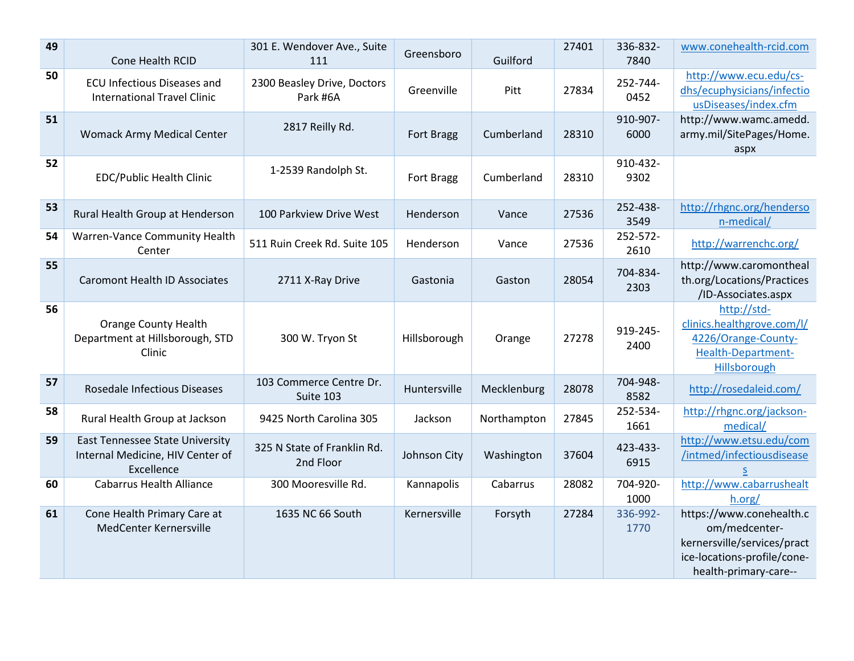| 49 | Cone Health RCID                                                                         | 301 E. Wendover Ave., Suite<br>111       | Greensboro   | Guilford    | 27401 | 336-832-<br>7840 | www.conehealth-rcid.com                                                                                                          |
|----|------------------------------------------------------------------------------------------|------------------------------------------|--------------|-------------|-------|------------------|----------------------------------------------------------------------------------------------------------------------------------|
| 50 | <b>ECU Infectious Diseases and</b><br><b>International Travel Clinic</b>                 | 2300 Beasley Drive, Doctors<br>Park #6A  | Greenville   | Pitt        | 27834 | 252-744-<br>0452 | http://www.ecu.edu/cs-<br>dhs/ecuphysicians/infectio<br>usDiseases/index.cfm                                                     |
| 51 | Womack Army Medical Center                                                               | 2817 Reilly Rd.                          | Fort Bragg   | Cumberland  | 28310 | 910-907-<br>6000 | http://www.wamc.amedd.<br>army.mil/SitePages/Home.<br>aspx                                                                       |
| 52 | <b>EDC/Public Health Clinic</b>                                                          | 1-2539 Randolph St.                      | Fort Bragg   | Cumberland  | 28310 | 910-432-<br>9302 |                                                                                                                                  |
| 53 | Rural Health Group at Henderson                                                          | 100 Parkview Drive West                  | Henderson    | Vance       | 27536 | 252-438-<br>3549 | http://rhgnc.org/henderso<br>n-medical/                                                                                          |
| 54 | Warren-Vance Community Health<br>Center                                                  | 511 Ruin Creek Rd. Suite 105             | Henderson    | Vance       | 27536 | 252-572-<br>2610 | http://warrenchc.org/                                                                                                            |
| 55 | <b>Caromont Health ID Associates</b>                                                     | 2711 X-Ray Drive                         | Gastonia     | Gaston      | 28054 | 704-834-<br>2303 | http://www.caromontheal<br>th.org/Locations/Practices<br>/ID-Associates.aspx                                                     |
| 56 | <b>Orange County Health</b><br>Department at Hillsborough, STD<br>Clinic                 | 300 W. Tryon St                          | Hillsborough | Orange      | 27278 | 919-245-<br>2400 | http://std-<br>clinics.healthgrove.com/l/<br>4226/Orange-County-<br>Health-Department-<br>Hillsborough                           |
| 57 | Rosedale Infectious Diseases                                                             | 103 Commerce Centre Dr.<br>Suite 103     | Huntersville | Mecklenburg | 28078 | 704-948-<br>8582 | http://rosedaleid.com/                                                                                                           |
| 58 | Rural Health Group at Jackson                                                            | 9425 North Carolina 305                  | Jackson      | Northampton | 27845 | 252-534-<br>1661 | http://rhgnc.org/jackson-<br>medical/                                                                                            |
| 59 | <b>East Tennessee State University</b><br>Internal Medicine, HIV Center of<br>Excellence | 325 N State of Franklin Rd.<br>2nd Floor | Johnson City | Washington  | 37604 | 423-433-<br>6915 | http://www.etsu.edu/com<br>/intmed/infectiousdisease<br>S                                                                        |
| 60 | <b>Cabarrus Health Alliance</b>                                                          | 300 Mooresville Rd.                      | Kannapolis   | Cabarrus    | 28082 | 704-920-<br>1000 | http://www.cabarrushealt<br>h.org/                                                                                               |
| 61 | Cone Health Primary Care at<br>MedCenter Kernersville                                    | 1635 NC 66 South                         | Kernersville | Forsyth     | 27284 | 336-992-<br>1770 | https://www.conehealth.c<br>om/medcenter-<br>kernersville/services/pract<br>ice-locations-profile/cone-<br>health-primary-care-- |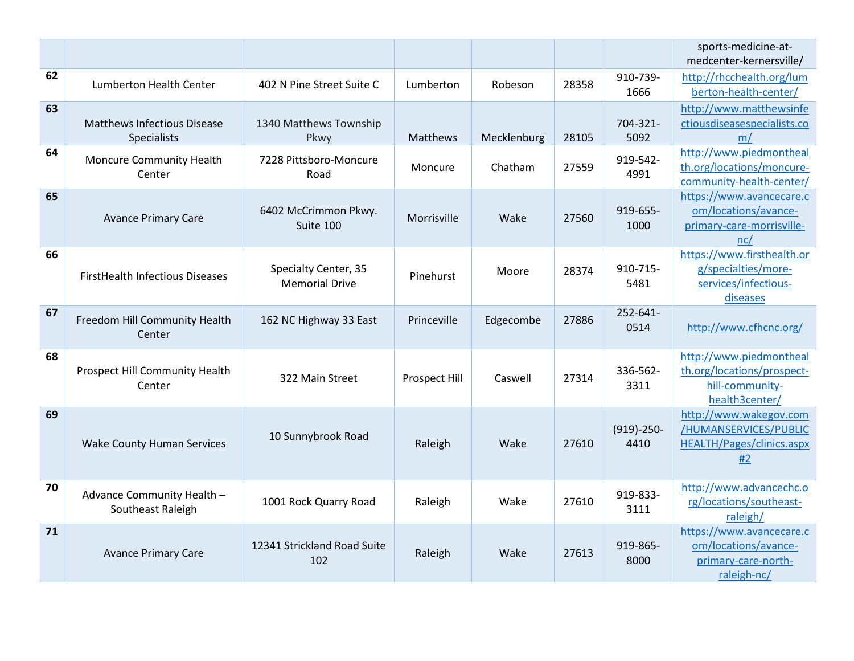|    |                                                          |                                               |               |             |       |                      | sports-medicine-at-<br>medcenter-kernersville/                                             |
|----|----------------------------------------------------------|-----------------------------------------------|---------------|-------------|-------|----------------------|--------------------------------------------------------------------------------------------|
| 62 | <b>Lumberton Health Center</b>                           | 402 N Pine Street Suite C                     | Lumberton     | Robeson     | 28358 | 910-739-<br>1666     | http://rhcchealth.org/lum<br>berton-health-center/                                         |
| 63 | <b>Matthews Infectious Disease</b><br><b>Specialists</b> | 1340 Matthews Township<br>Pkwy                | Matthews      | Mecklenburg | 28105 | 704-321-<br>5092     | http://www.matthewsinfe<br>ctiousdiseasespecialists.co<br>m/                               |
| 64 | Moncure Community Health<br>Center                       | 7228 Pittsboro-Moncure<br>Road                | Moncure       | Chatham     | 27559 | 919-542-<br>4991     | http://www.piedmontheal<br>th.org/locations/moncure-<br>community-health-center/           |
| 65 | <b>Avance Primary Care</b>                               | 6402 McCrimmon Pkwy.<br>Suite 100             | Morrisville   | Wake        | 27560 | 919-655-<br>1000     | https://www.avancecare.c<br>om/locations/avance-<br>primary-care-morrisville-<br>nc/       |
| 66 | <b>FirstHealth Infectious Diseases</b>                   | Specialty Center, 35<br><b>Memorial Drive</b> | Pinehurst     | Moore       | 28374 | 910-715-<br>5481     | https://www.firsthealth.or<br>g/specialties/more-<br>services/infectious-<br>diseases      |
| 67 | Freedom Hill Community Health<br>Center                  | 162 NC Highway 33 East                        | Princeville   | Edgecombe   | 27886 | 252-641-<br>0514     | http://www.cfhcnc.org/                                                                     |
| 68 | Prospect Hill Community Health<br>Center                 | 322 Main Street                               | Prospect Hill | Caswell     | 27314 | 336-562-<br>3311     | http://www.piedmontheal<br>th.org/locations/prospect-<br>hill-community-<br>health3center/ |
| 69 | <b>Wake County Human Services</b>                        | 10 Sunnybrook Road                            | Raleigh       | Wake        | 27610 | $(919)-250-$<br>4410 | http://www.wakegov.com<br>/HUMANSERVICES/PUBLIC<br><b>HEALTH/Pages/clinics.aspx</b><br>#2  |
| 70 | Advance Community Health -<br>Southeast Raleigh          | 1001 Rock Quarry Road                         | Raleigh       | Wake        | 27610 | 919-833-<br>3111     | http://www.advancechc.o<br>rg/locations/southeast-<br>raleigh/                             |
| 71 | <b>Avance Primary Care</b>                               | 12341 Strickland Road Suite<br>102            | Raleigh       | Wake        | 27613 | 919-865-<br>8000     | https://www.avancecare.c<br>om/locations/avance-<br>primary-care-north-<br>raleigh-nc/     |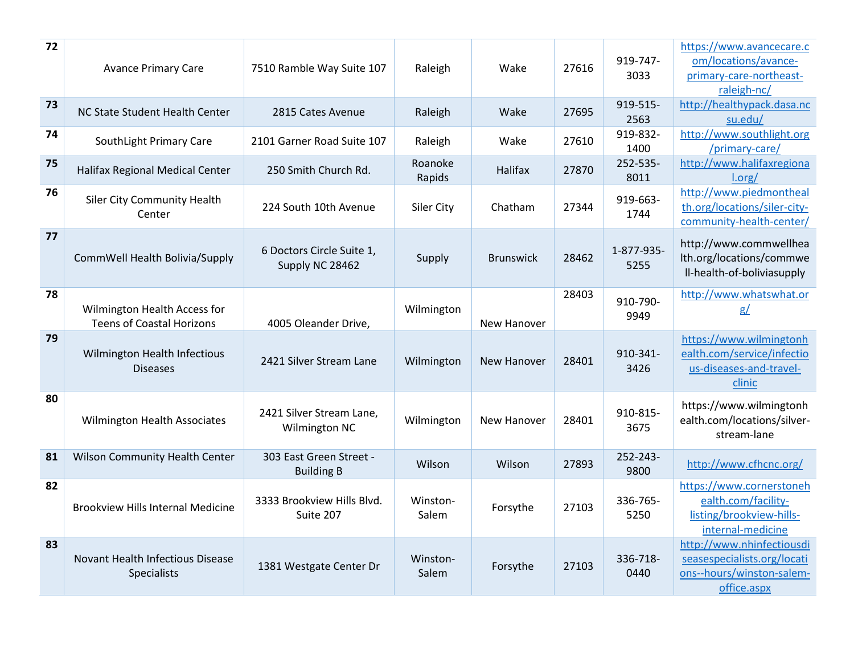| 72 | <b>Avance Primary Care</b>                                       | 7510 Ramble Way Suite 107                    | Raleigh           | Wake             | 27616 | 919-747-<br>3033   | https://www.avancecare.c<br>om/locations/avance-<br>primary-care-northeast-<br>raleigh-nc/           |
|----|------------------------------------------------------------------|----------------------------------------------|-------------------|------------------|-------|--------------------|------------------------------------------------------------------------------------------------------|
| 73 | NC State Student Health Center                                   | 2815 Cates Avenue                            | Raleigh           | Wake             | 27695 | 919-515-<br>2563   | http://healthypack.dasa.nc<br>su.edu/                                                                |
| 74 | SouthLight Primary Care                                          | 2101 Garner Road Suite 107                   | Raleigh           | Wake             | 27610 | 919-832-<br>1400   | http://www.southlight.org<br>/primary-care/                                                          |
| 75 | Halifax Regional Medical Center                                  | 250 Smith Church Rd.                         | Roanoke<br>Rapids | <b>Halifax</b>   | 27870 | 252-535-<br>8011   | http://www.halifaxregiona<br>Lorg/                                                                   |
| 76 | <b>Siler City Community Health</b><br>Center                     | 224 South 10th Avenue                        | Siler City        | Chatham          | 27344 | 919-663-<br>1744   | http://www.piedmontheal<br>th.org/locations/siler-city-<br>community-health-center/                  |
| 77 | CommWell Health Bolivia/Supply                                   | 6 Doctors Circle Suite 1,<br>Supply NC 28462 | Supply            | <b>Brunswick</b> | 28462 | 1-877-935-<br>5255 | http://www.commwellhea<br>Ith.org/locations/commwe<br>Il-health-of-boliviasupply                     |
| 78 | Wilmington Health Access for<br><b>Teens of Coastal Horizons</b> | 4005 Oleander Drive,                         | Wilmington        | New Hanover      | 28403 | 910-790-<br>9949   | http://www.whatswhat.or<br>g/                                                                        |
| 79 | Wilmington Health Infectious<br><b>Diseases</b>                  | 2421 Silver Stream Lane                      | Wilmington        | New Hanover      | 28401 | 910-341-<br>3426   | https://www.wilmingtonh<br>ealth.com/service/infectio<br>us-diseases-and-travel-<br>clinic           |
| 80 | Wilmington Health Associates                                     | 2421 Silver Stream Lane,<br>Wilmington NC    | Wilmington        | New Hanover      | 28401 | 910-815-<br>3675   | https://www.wilmingtonh<br>ealth.com/locations/silver-<br>stream-lane                                |
| 81 | Wilson Community Health Center                                   | 303 East Green Street -<br><b>Building B</b> | Wilson            | Wilson           | 27893 | 252-243-<br>9800   | http://www.cfhcnc.org/                                                                               |
| 82 | <b>Brookview Hills Internal Medicine</b>                         | 3333 Brookview Hills Blvd.<br>Suite 207      | Winston-<br>Salem | Forsythe         | 27103 | 336-765-<br>5250   | https://www.cornerstoneh<br>ealth.com/facility-<br>listing/brookview-hills-<br>internal-medicine     |
| 83 | <b>Novant Health Infectious Disease</b><br><b>Specialists</b>    | 1381 Westgate Center Dr                      | Winston-<br>Salem | Forsythe         | 27103 | 336-718-<br>0440   | http://www.nhinfectiousdi<br>seasespecialists.org/locati<br>ons--hours/winston-salem-<br>office.aspx |